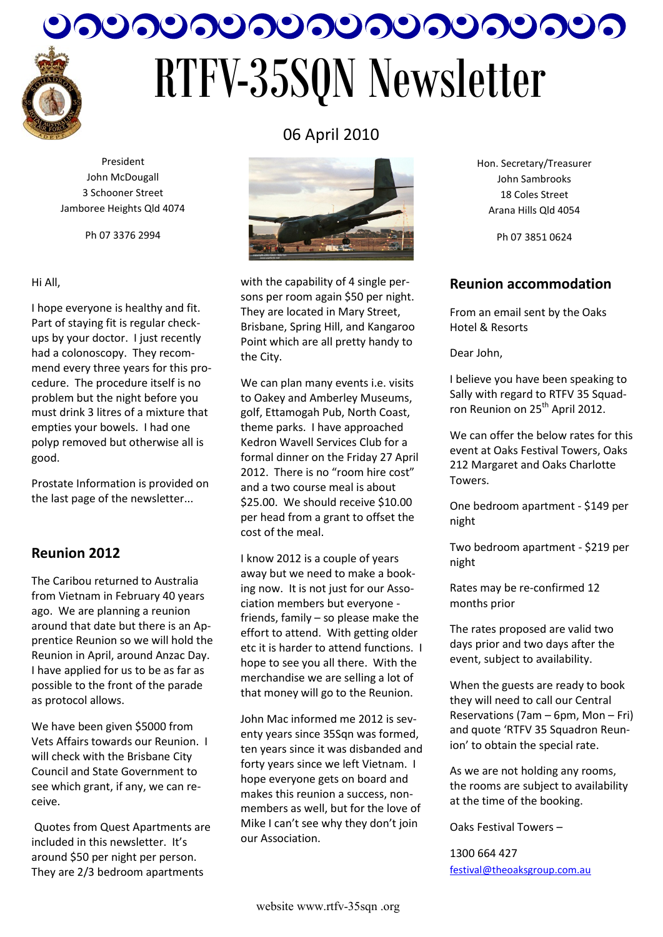

# <u>ೂಂದಿಂದಿಂದಿಂದಿಂದಿಂದಿಂದಿ</u> RTFV-35SQN Newsletter

President John McDougall 3 Schooner Street Jamboree Heights Qld 4074

Ph 07 3376 2994

#### Hi All,

I hope everyone is healthy and fit. Part of staying fit is regular checkups by your doctor. I just recently had a colonoscopy. They recommend every three years for this procedure. The procedure itself is no problem but the night before you must drink 3 litres of a mixture that empties your bowels. I had one polyp removed but otherwise all is good.

Prostate Information is provided on the last page of the newsletter...

# **Reunion 2012**

The Caribou returned to Australia from Vietnam in February 40 years ago. We are planning a reunion around that date but there is an Apprentice Reunion so we will hold the Reunion in April, around Anzac Day. I have applied for us to be as far as possible to the front of the parade as protocol allows.

We have been given \$5000 from Vets Affairs towards our Reunion. I will check with the Brisbane City Council and State Government to see which grant, if any, we can receive.

Quotes from Quest Apartments are included in this newsletter. It's around \$50 per night per person. They are 2/3 bedroom apartments



06 April 2010

with the capability of 4 single persons per room again \$50 per night. They are located in Mary Street, Brisbane, Spring Hill, and Kangaroo Point which are all pretty handy to the City.

We can plan many events i.e. visits to Oakey and Amberley Museums, golf, Ettamogah Pub, North Coast, theme parks. I have approached Kedron Wavell Services Club for a formal dinner on the Friday 27 April 2012. There is no "room hire cost" and a two course meal is about \$25.00. We should receive \$10.00 per head from a grant to offset the cost of the meal.

I know 2012 is a couple of years away but we need to make a booking now. It is not just for our Association members but everyone friends, family – so please make the effort to attend. With getting older etc it is harder to attend functions. I hope to see you all there. With the merchandise we are selling a lot of that money will go to the Reunion.

John Mac informed me 2012 is seventy years since 35Sqn was formed. ten years since it was disbanded and forty years since we left Vietnam. I hope everyone gets on board and makes this reunion a success, nonmembers as well, but for the love of Mike I can't see why they don't join our Association.

Hon. Secretary/Treasurer John Sambrooks 18 Coles Street Arana Hills Qld 4054

Ph 07 3851 0624

#### **Reunion accommodation**

From an email sent by the Oaks Hotel & Resorts

Dear John,

I believe you have been speaking to Sally with regard to RTFV 35 Squadron Reunion on 25<sup>th</sup> April 2012.

We can offer the below rates for this event at Oaks Festival Towers, Oaks 212 Margaret and Oaks Charlotte Towers.

One bedroom apartment - \$149 per night

Two bedroom apartment - \$219 per night

Rates may be re-confirmed 12 months prior

The rates proposed are valid two days prior and two days after the event, subject to availability.

When the guests are ready to book they will need to call our Central Reservations (7am – 6pm, Mon – Fri) and quote 'RTFV 35 Squadron Reunion' to obtain the special rate.

As we are not holding any rooms, the rooms are subject to availability at the time of the booking.

Oaks Festival Towers –

1300 664 427 [festival@theoaksgroup.com.au](mailto:festival@theoaksgroup.com.au)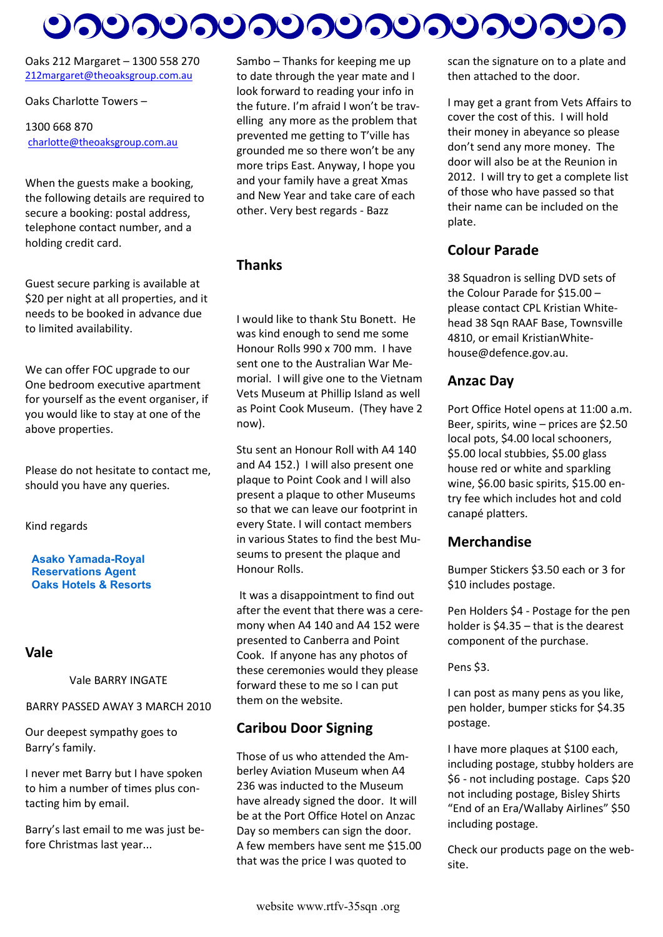# <u>ಲನಲನಲನಲನಲನಲನಲನಲನಲು</u>

Oaks 212 Margaret – 1300 558 270 [212margaret@theoaksgroup.com.au](mailto:212margaret@theoaksgroup.com.au)

#### Oaks Charlotte Towers –

#### 1300 668 870 [charlotte@theoaksgroup.com.au](mailto:charlotte@theoaksgroup.com.au)

When the guests make a booking, the following details are required to secure a booking: postal address, telephone contact number, and a holding credit card.

Guest secure parking is available at \$20 per night at all properties, and it needs to be booked in advance due to limited availability.

We can offer FOC upgrade to our One bedroom executive apartment for yourself as the event organiser, if you would like to stay at one of the above properties.

Please do not hesitate to contact me, should you have any queries.

Kind regards

#### **Asako Yamada-Royal Reservations Agent Oaks Hotels & Resorts**

#### **Vale**

Vale BARRY INGATE

#### BARRY PASSED AWAY 3 MARCH 2010

Our deepest sympathy goes to Barry's family.

I never met Barry but I have spoken to him a number of times plus contacting him by email.

Barry's last email to me was just before Christmas last year...

Sambo – Thanks for keeping me up to date through the year mate and I look forward to reading your info in the future. I'm afraid I won't be travelling any more as the problem that prevented me getting to T'ville has grounded me so there won't be any more trips East. Anyway, I hope you and your family have a great Xmas and New Year and take care of each other. Very best regards - Bazz

#### **Thanks**

I would like to thank Stu Bonett. He was kind enough to send me some Honour Rolls 990 x 700 mm. I have sent one to the Australian War Memorial. I will give one to the Vietnam Vets Museum at Phillip Island as well as Point Cook Museum. (They have 2 now).

Stu sent an Honour Roll with A4 140 and A4 152.) I will also present one plaque to Point Cook and I will also present a plaque to other Museums so that we can leave our footprint in every State. I will contact members in various States to find the best Museums to present the plaque and Honour Rolls.

It was a disappointment to find out after the event that there was a ceremony when A4 140 and A4 152 were presented to Canberra and Point Cook. If anyone has any photos of these ceremonies would they please forward these to me so I can put them on the website.

### **Caribou Door Signing**

Those of us who attended the Amberley Aviation Museum when A4 236 was inducted to the Museum have already signed the door. It will be at the Port Office Hotel on Anzac Day so members can sign the door. A few members have sent me \$15.00 that was the price I was quoted to

scan the signature on to a plate and then attached to the door.

I may get a grant from Vets Affairs to cover the cost of this. I will hold their money in abeyance so please don't send any more money. The door will also be at the Reunion in 2012. I will try to get a complete list of those who have passed so that their name can be included on the plate.

# **Colour Parade**

38 Squadron is selling DVD sets of the Colour Parade for \$15.00 – please contact CPL Kristian Whitehead 38 Sqn RAAF Base, Townsville 4810, or email KristianWhitehouse@defence.gov.au.

### **Anzac Day**

Port Office Hotel opens at 11:00 a.m. Beer, spirits, wine – prices are \$2.50 local pots, \$4.00 local schooners, \$5.00 local stubbies, \$5.00 glass house red or white and sparkling wine, \$6.00 basic spirits, \$15.00 entry fee which includes hot and cold canapé platters.

#### **Merchandise**

Bumper Stickers \$3.50 each or 3 for \$10 includes postage.

Pen Holders \$4 - Postage for the pen holder is \$4.35 – that is the dearest component of the purchase.

Pens \$3.

I can post as many pens as you like, pen holder, bumper sticks for \$4.35 postage.

I have more plaques at \$100 each, including postage, stubby holders are \$6 - not including postage. Caps \$20 not including postage, Bisley Shirts "End of an Era/Wallaby Airlines" \$50 including postage.

Check our products page on the website.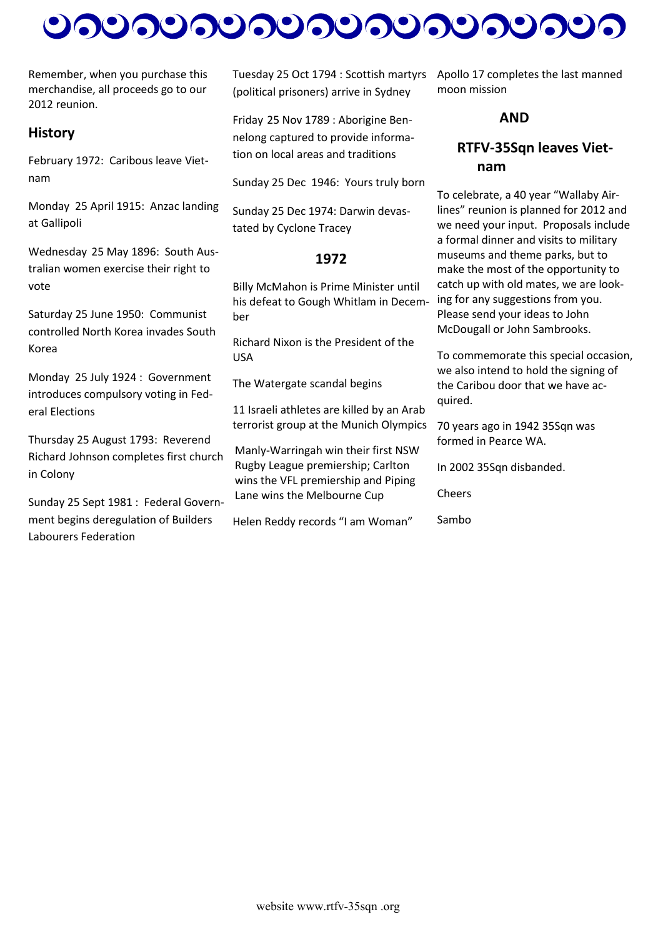# 

Remember, when you purchase this merchandise, all proceeds go to our 2012 reunion.

#### **History**

February 1972: Caribous leave Vietnam

Monday 25 April 1915: Anzac landing at Gallipoli

Wednesday 25 May 1896: South Australian women exercise their right to vote

Saturday 25 June 1950: Communist controlled North Korea invades South Korea

Monday 25 July 1924 : Government introduces compulsory voting in Federal Elections

Thursday 25 August 1793: Reverend Richard Johnson completes first church in Colony

Sunday 25 Sept 1981 : Federal Government begins deregulation of Builders Labourers Federation

Tuesday 25 Oct 1794 : Scottish martyrs (political prisoners) arrive in Sydney

Friday 25 Nov 1789 : Aborigine Bennelong captured to provide information on local areas and traditions

Sunday 25 Dec 1946: Yours truly born

Sunday 25 Dec 1974: Darwin devastated by Cyclone Tracey

#### **1972**

Billy McMahon is Prime Minister until his defeat to Gough Whitlam in December

Richard Nixon is the President of the USA

The Watergate scandal begins

11 Israeli athletes are killed by an Arab terrorist group at the Munich Olympics

Manly-Warringah win their first NSW Rugby League premiership; Carlton wins the VFL premiership and Piping Lane wins the Melbourne Cup

Helen Reddy records "I am Woman"

Apollo 17 completes the last manned moon mission

#### **AND**

# **RTFV-35Sqn leaves Vietnam**

To celebrate, a 40 year "Wallaby Airlines" reunion is planned for 2012 and we need your input. Proposals include a formal dinner and visits to military museums and theme parks, but to make the most of the opportunity to catch up with old mates, we are looking for any suggestions from you. Please send your ideas to John McDougall or John Sambrooks.

To commemorate this special occasion, we also intend to hold the signing of the Caribou door that we have acquired.

70 years ago in 1942 35Sqn was formed in Pearce WA.

In 2002 35Sqn disbanded.

Cheers

Sambo